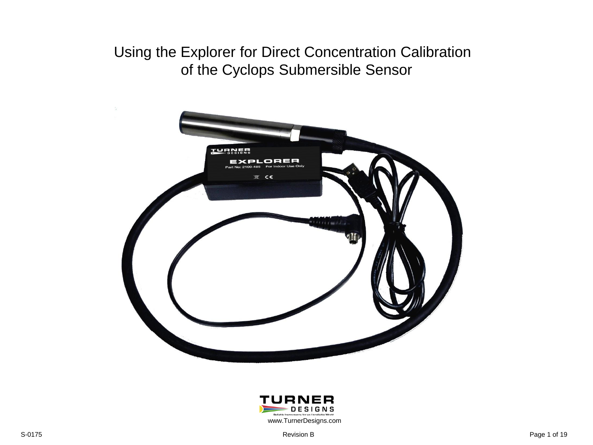# Using the Explorer for Direct Concentration Calibration of the Cyclops Submersible Sensor



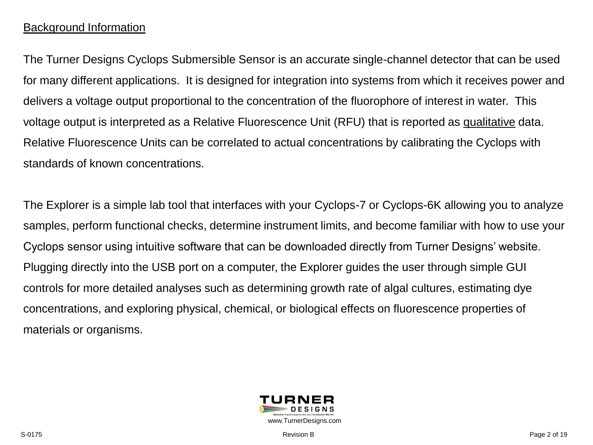## Background Information

The Turner Designs Cyclops Submersible Sensor is an accurate single-channel detector that can be used for many different applications. It is designed for integration into systems from which it receives power and delivers a voltage output proportional to the concentration of the fluorophore of interest in water. This voltage output is interpreted as a Relative Fluorescence Unit (RFU) that is reported as qualitative data. Relative Fluorescence Units can be correlated to actual concentrations by calibrating the Cyclops with standards of known concentrations.

The Explorer is a simple lab tool that interfaces with your Cyclops-7 or Cyclops-6K allowing you to analyze samples, perform functional checks, determine instrument limits, and become familiar with how to use your Cyclops sensor using intuitive software that can be downloaded directly from Turner Designs' website. Plugging directly into the USB port on a computer, the Explorer guides the user through simple GUI controls for more detailed analyses such as determining growth rate of algal cultures, estimating dye concentrations, and exploring physical, chemical, or biological effects on fluorescence properties of materials or organisms.

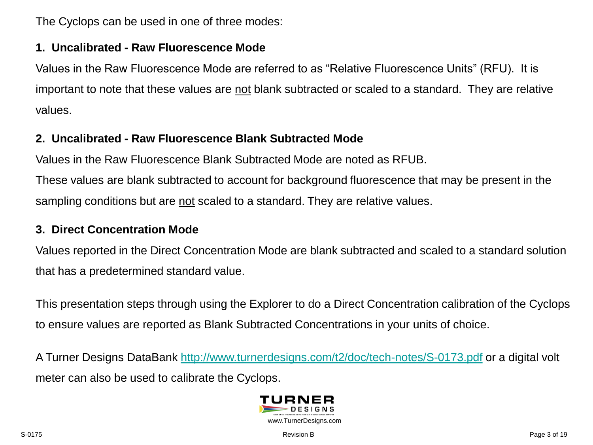The Cyclops can be used in one of three modes:

#### **1. Uncalibrated - Raw Fluorescence Mode**

Values in the Raw Fluorescence Mode are referred to as "Relative Fluorescence Units" (RFU). It is important to note that these values are not blank subtracted or scaled to a standard. They are relative values.

## **2. Uncalibrated - Raw Fluorescence Blank Subtracted Mode**

Values in the Raw Fluorescence Blank Subtracted Mode are noted as RFUB.

These values are blank subtracted to account for background fluorescence that may be present in the sampling conditions but are not scaled to a standard. They are relative values.

#### **3. Direct Concentration Mode**

Values reported in the Direct Concentration Mode are blank subtracted and scaled to a standard solution that has a predetermined standard value.

This presentation steps through using the Explorer to do a Direct Concentration calibration of the Cyclops to ensure values are reported as Blank Subtracted Concentrations in your units of choice.

A Turner Designs DataBank <http://www.turnerdesigns.com/t2/doc/tech-notes/S-0173.pdf> or a digital volt meter can also be used to calibrate the Cyclops.

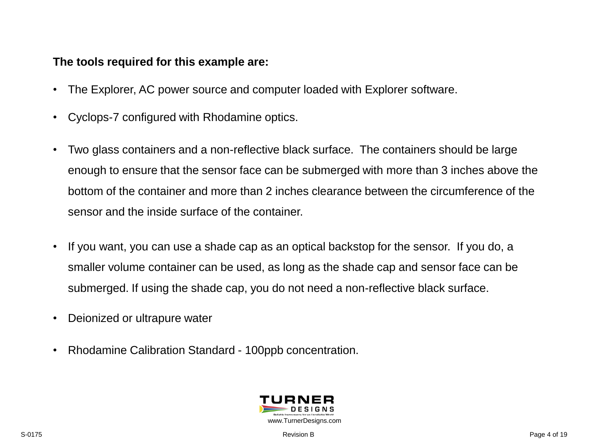#### **The tools required for this example are:**

- The Explorer, AC power source and computer loaded with Explorer software.
- Cyclops-7 configured with Rhodamine optics.
- Two glass containers and a non-reflective black surface. The containers should be large enough to ensure that the sensor face can be submerged with more than 3 inches above the bottom of the container and more than 2 inches clearance between the circumference of the sensor and the inside surface of the container.
- If you want, you can use a shade cap as an optical backstop for the sensor. If you do, a smaller volume container can be used, as long as the shade cap and sensor face can be submerged. If using the shade cap, you do not need a non-reflective black surface.
- Deionized or ultrapure water
- Rhodamine Calibration Standard 100ppb concentration.

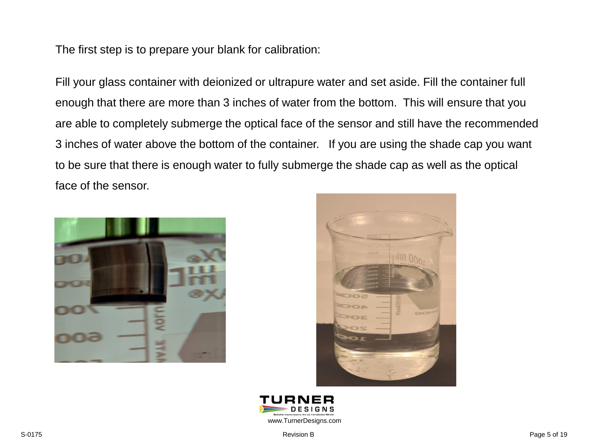The first step is to prepare your blank for calibration:

Fill your glass container with deionized or ultrapure water and set aside. Fill the container full enough that there are more than 3 inches of water from the bottom. This will ensure that you are able to completely submerge the optical face of the sensor and still have the recommended 3 inches of water above the bottom of the container. If you are using the shade cap you want to be sure that there is enough water to fully submerge the shade cap as well as the optical face of the sensor.





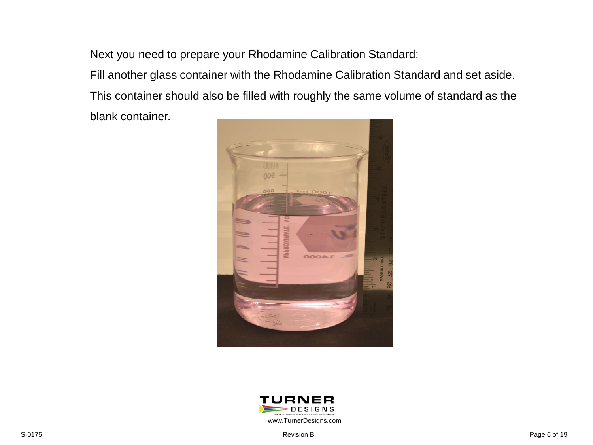Next you need to prepare your Rhodamine Calibration Standard:

Fill another glass container with the Rhodamine Calibration Standard and set aside. This container should also be filled with roughly the same volume of standard as the

blank container.



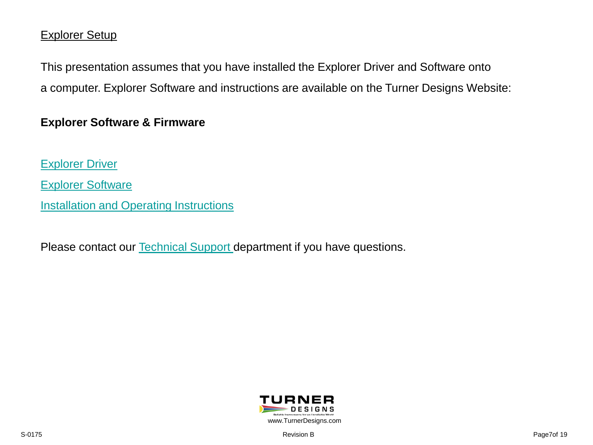#### Explorer Setup

This presentation assumes that you have installed the Explorer Driver and Software onto a computer. Explorer Software and instructions are available on the Turner Designs Website:

#### **Explorer Software & Firmware**

[Explorer Driver](http://docs.turnerdesigns.com/t2/sw/Cyclops-Explorer-Driver.zip) [Explorer Software](http://docs.turnerdesigns.com/t2/sw/Cyclops-Explorer-Software.zip) **[Installation and Operating Instructions](http://docs.turnerdesigns.com/t2/doc/instructions/998-2148.pdf)** 

Please contact our **Technical Support** department if you have questions.

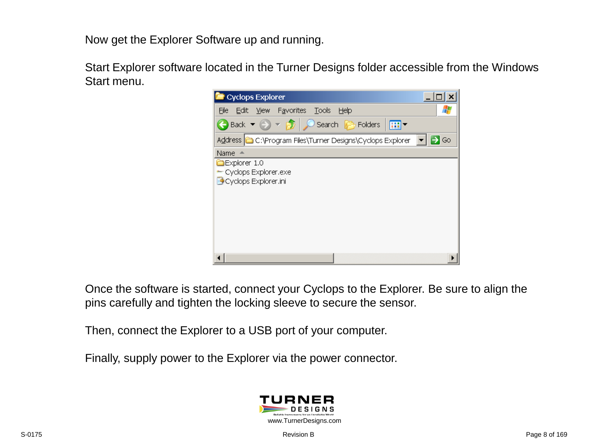Now get the Explorer Software up and running.

Start Explorer software located in the Turner Designs folder accessible from the Windows Start menu.



Once the software is started, connect your Cyclops to the Explorer. Be sure to align the pins carefully and tighten the locking sleeve to secure the sensor.

Then, connect the Explorer to a USB port of your computer.

Finally, supply power to the Explorer via the power connector.

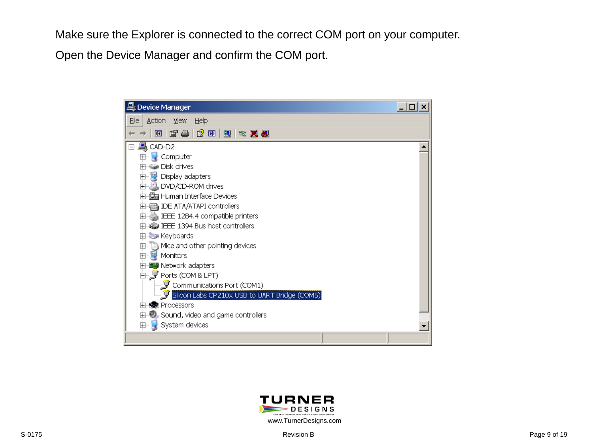Make sure the Explorer is connected to the correct COM port on your computer.

Open the Device Manager and confirm the COM port.



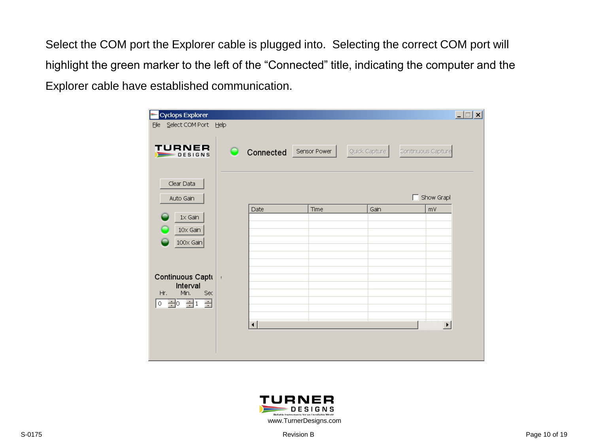Select the COM port the Explorer cable is plugged into. Selecting the correct COM port will highlight the green marker to the left of the "Connected" title, indicating the computer and the Explorer cable have established communication.

| <b>Cyclops Explorer</b>           |       |                        |      |               | $\Box$ o $\Box$       |
|-----------------------------------|-------|------------------------|------|---------------|-----------------------|
| Select COM Port Help<br>Eile      |       |                        |      |               |                       |
| <b>TURNER</b><br>$\equiv$ DESIGNS |       | Connected Sensor Power |      | Quick Capture | Continuous Capture    |
| Clear Data<br>Auto Gain           |       |                        |      |               | Show Grapl<br>П       |
|                                   |       | Date                   | Time | Gain          | mV                    |
| $1 \times$ Gain                   |       |                        |      |               |                       |
| $10\times$ Gain                   |       |                        |      |               |                       |
| $100 \times$ Gain                 |       |                        |      |               |                       |
|                                   |       |                        |      |               |                       |
|                                   |       |                        |      |               |                       |
| Continuous Captu                  | $\pm$ |                        |      |               |                       |
| Interval<br>Min.<br>Sec<br>Hr.    |       |                        |      |               |                       |
| 골<br><u>이름이름</u> 1                |       |                        |      |               |                       |
|                                   |       |                        |      |               |                       |
|                                   |       | $\lvert \cdot \rvert$  |      |               | $\blacktriangleright$ |
|                                   |       |                        |      |               |                       |
|                                   |       |                        |      |               |                       |
|                                   |       |                        |      |               |                       |

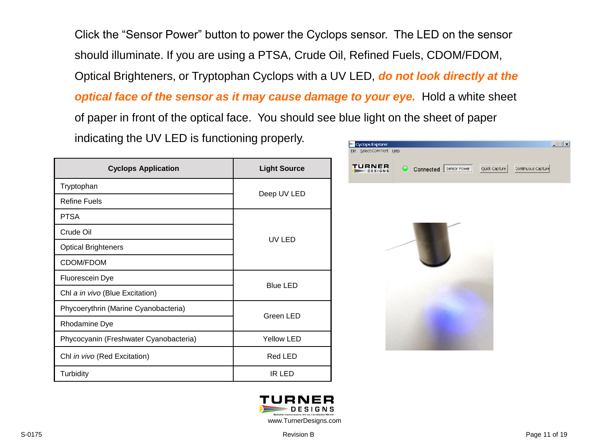Click the "Sensor Power" button to power the Cyclops sensor. The LED on the sensor should illuminate. If you are using a PTSA, Crude Oil, Refined Fuels, CDOM/FDOM, Optical Brighteners, or Tryptophan Cyclops with a UV LED, *do not look directly at the optical face of the sensor as it may cause damage to your eye.* **Hold a white sheet** of paper in front of the optical face. You should see blue light on the sheet of paper

indicating the UV LED is functioning properly.

| <b>Cyclops Application</b>             | <b>Light Source</b> |  |
|----------------------------------------|---------------------|--|
| Tryptophan                             |                     |  |
| Refine Fuels                           | Deep UV LED         |  |
| <b>PTSA</b>                            |                     |  |
| Crude Oil                              | UV LED              |  |
| <b>Optical Brighteners</b>             |                     |  |
| CDOM/FDOM                              |                     |  |
| Fluorescein Dye                        | <b>Blue LED</b>     |  |
| Chl a in vivo (Blue Excitation)        |                     |  |
| Phycoerythrin (Marine Cyanobacteria)   | Green LED           |  |
| Rhodamine Dye                          |                     |  |
| Phycocyanin (Freshwater Cyanobacteria) | <b>Yellow LED</b>   |  |
| Chl in vivo (Red Excitation)           | Red LED             |  |
| Turbidity                              | IR LED              |  |



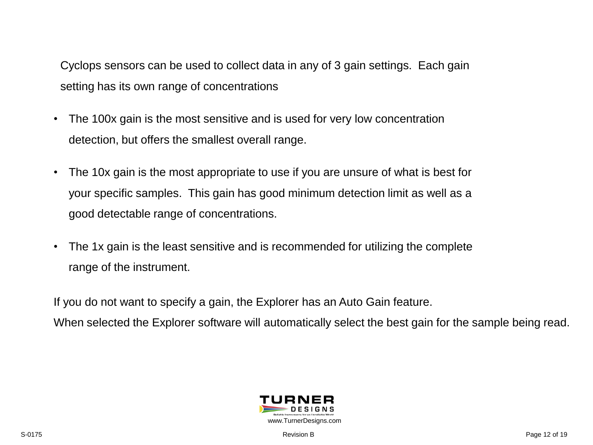Cyclops sensors can be used to collect data in any of 3 gain settings. Each gain setting has its own range of concentrations

- The 100x gain is the most sensitive and is used for very low concentration detection, but offers the smallest overall range.
- The 10x gain is the most appropriate to use if you are unsure of what is best for your specific samples. This gain has good minimum detection limit as well as a good detectable range of concentrations.
- The 1x gain is the least sensitive and is recommended for utilizing the complete range of the instrument.

If you do not want to specify a gain, the Explorer has an Auto Gain feature. When selected the Explorer software will automatically select the best gain for the sample being read.

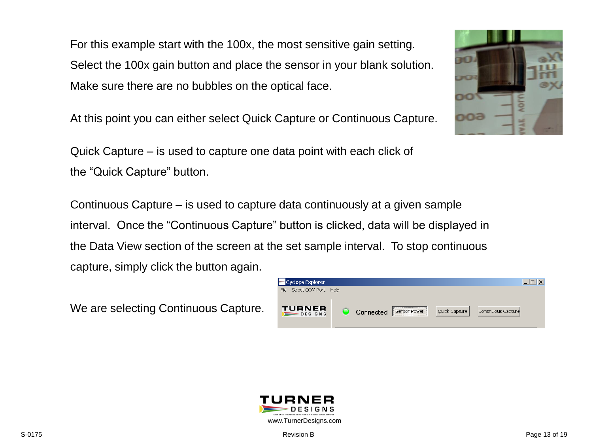For this example start with the 100x, the most sensitive gain setting. Select the 100x gain button and place the sensor in your blank solution. Make sure there are no bubbles on the optical face.

At this point you can either select Quick Capture or Continuous Capture.

Quick Capture – is used to capture one data point with each click of the "Quick Capture" button.

Continuous Capture – is used to capture data continuously at a given sample interval. Once the "Continuous Capture" button is clicked, data will be displayed in the Data View section of the screen at the set sample interval. To stop continuous capture, simply click the button again.

We are selecting Continuous Capture.





**DATU** 

no



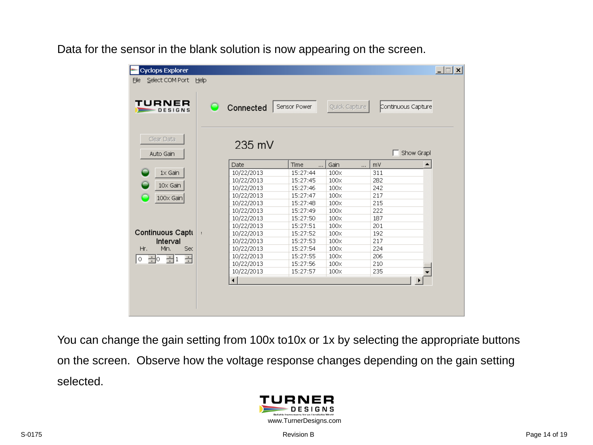Data for the sensor in the blank solution is now appearing on the screen.

| <b>Cyclops Explorer</b><br>Select COM Port Help<br>Eile<br>TURNER<br>DESIGNS | Connected<br>$\blacksquare$ | Sensor Power     | Quick Capture    | Continuous Capture     | $\Box$ $\Box$ $\times$ |
|------------------------------------------------------------------------------|-----------------------------|------------------|------------------|------------------------|------------------------|
| Clear Data<br>Auto Gain                                                      | $235$ mV                    |                  |                  | Show Grapl             |                        |
|                                                                              | Date                        | Time<br>$\cdots$ | Gain<br>$\cdots$ | $\blacktriangle$<br>mV |                        |
| $1 \times$ Gain                                                              | 10/22/2013                  | 15:27:44         | $100\times$      | 311                    |                        |
|                                                                              | 10/22/2013                  | 15:27:45         | $100\times$      | 282                    |                        |
| $10\times$ Gain                                                              | 10/22/2013                  | 15:27:46         | $100\times$      | 242                    |                        |
|                                                                              | 10/22/2013                  | 15:27:47         | $100\times$      | 217                    |                        |
| $100 \times$ Gain                                                            | 10/22/2013                  | 15:27:48         | $100\times$      | 215                    |                        |
|                                                                              | 10/22/2013                  | 15:27:49         | $100\times$      | 222                    |                        |
|                                                                              | 10/22/2013                  | 15:27:50         | $100\times$      | 187                    |                        |
|                                                                              | 10/22/2013                  | 15:27:51         | $100\times$      | 201                    |                        |
| Continuous Captu                                                             | 10/22/2013                  | 15:27:52         | $100\times$      | 192                    |                        |
| Interval                                                                     | 10/22/2013                  | 15:27:53         | $100\times$      | 217                    |                        |
| Min.<br>Hr.<br>Sec                                                           | 10/22/2013                  | 15:27:54         | $100\times$      | 224                    |                        |
| $\exists$<br>글<br>클어<br>$\circ$                                              | 10/22/2013                  | 15:27:55         | $100\times$      | 206                    |                        |
|                                                                              | 10/22/2013                  | 15:27:56         | $100\times$      | 210                    |                        |
|                                                                              | 10/22/2013                  | 15:27:57         | $100\times$      | 235                    |                        |
|                                                                              | $\left  \cdot \right $      |                  |                  | $\blacktriangleright$  |                        |
|                                                                              |                             |                  |                  |                        |                        |

You can change the gain setting from 100x to10x or 1x by selecting the appropriate buttons on the screen. Observe how the voltage response changes depending on the gain setting selected.

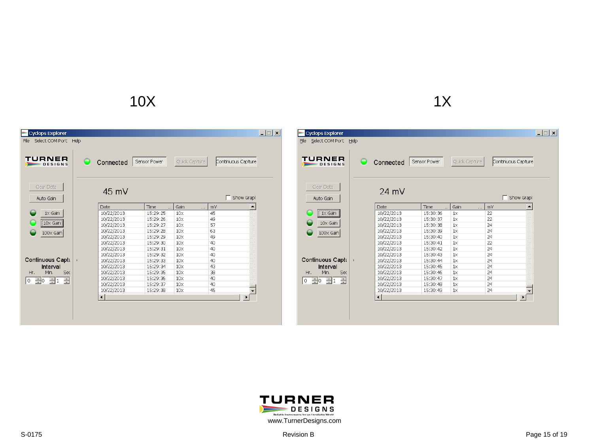# $10X$  and  $1X$

| <b>Cyclops Explorer</b><br>Select COM Port Help<br>File |                      |                  |                 |                    | $ \Box$ $\times$ |
|---------------------------------------------------------|----------------------|------------------|-----------------|--------------------|------------------|
| TURNER<br>DESIGNS                                       | Connected            | Sensor Power     | Quick Capture   | Continuous Capture |                  |
| Clear Data<br>Auto Gain                                 | $45 \text{ mV}$      |                  |                 | Show Grapl         |                  |
|                                                         | Date                 | Time<br>$\cdots$ | Gain<br>        | ▲<br>mV            |                  |
| $1\times$ Gain                                          | 10/22/2013           | 15:29:25         | $10\times$      | 45                 |                  |
|                                                         | 10/22/2013           | 15:29:26         | $10\times$      | 49                 |                  |
| $\sqrt{10} \times$ Gain                                 | 10/22/2013           | 15:29:27         | 10 <sub>X</sub> | 57                 |                  |
| 100x Gain                                               | 10/22/2013           | 15:29:28         | $10\times$      | 63                 |                  |
|                                                         | 10/22/2013           | 15:29:29         | $10\times$      | 49                 |                  |
|                                                         | 10/22/2013           | 15:29:30         | $10\times$      | 40                 |                  |
|                                                         | 10/22/2013           | 15:29:31         | $10\times$      | 40                 |                  |
|                                                         | 10/22/2013           | 15:29:32         | $10\times$      | 40                 |                  |
| Continuous Captu                                        | 10/22/2013           | 15:29:33         | $10\times$      | 40                 |                  |
| Interval                                                | 10/22/2013           | 15:29:34         | $10\times$      | 43                 |                  |
| Hr.<br>Min.<br>Sec                                      | 10/22/2013           | 15:29:35         | $10\times$      | 38                 |                  |
| $\div$<br>$\pm 1$<br>$\div$ 0<br>۱o                     | 10/22/2013           | 15:29:36         | $10\times$      | 40                 |                  |
|                                                         | 10/22/2013           | 15:29:37         | $10\times$      | 40                 |                  |
|                                                         | 10/22/2013           | 15:29:38         | $10\times$      | 45                 |                  |
|                                                         | $\blacktriangleleft$ |                  |                 |                    |                  |
|                                                         |                      |                  |                 |                    |                  |
|                                                         |                      |                  |                 |                    |                  |
|                                                         |                      |                  |                 |                    |                  |
|                                                         |                      |                  |                 |                    |                  |

| <b>Cyclops Explorer</b><br>Select COM Port<br>Eile | Help |                      |              |                  |                    | $  \Box   \Box   \times  $ |
|----------------------------------------------------|------|----------------------|--------------|------------------|--------------------|----------------------------|
| TURNER<br>$=$ DESIGNS                              |      | Connected            | Sensor Power | Quick Capture    | Continuous Capture |                            |
|                                                    |      |                      |              |                  |                    |                            |
| Clear Data<br>Auto Gain                            |      | $24 \text{ mV}$      |              |                  | Show Grapl         |                            |
|                                                    |      | Date                 | Time<br>     | Gain<br>$\cdots$ | ▲<br>mV            |                            |
| $\sqrt{1} \times$ Gain                             |      | 10/22/2013           | 15:30:36     | $1\times$        | 22                 |                            |
|                                                    |      | 10/22/2013           | 15:30:37     | $1\times$        | 22                 |                            |
| $10\times$ Gain                                    |      | 10/22/2013           | 15:30:38     | $1\times$        | 24                 |                            |
| 100x Gain                                          |      | 10/22/2013           | 15:30:39     | $1\times$        | 24                 |                            |
|                                                    |      | 10/22/2013           | 15:30:40     | $1\times$        | 24                 |                            |
|                                                    |      | 10/22/2013           | 15:30:41     | $1\times$        | 22                 |                            |
|                                                    |      | 10/22/2013           | 15:30:42     | $1\times$        | 24                 |                            |
|                                                    |      | 10/22/2013           | 15:30:43     | $1\times$        | 24                 |                            |
| Continuous Captu                                   | ŧ    | 10/22/2013           | 15:30:44     | $1\times$        | 24                 |                            |
| Interval                                           |      | 10/22/2013           | 15:30:45     | $1\times$        | 24                 |                            |
| Min.<br>Sec<br>Hr.                                 |      | 10/22/2013           | 15:30:46     | $1\times$        | 24                 |                            |
| ÷<br>$\Box$<br>$\div$ 0<br>$\circ$                 |      | 10/22/2013           | 15:30:47     | $1\times$        | 24                 |                            |
|                                                    |      | 10/22/2013           | 15:30:48     | $1\times$        | 24                 |                            |
|                                                    |      | 10/22/2013           | 15:30:49     | $1\times$        | 24                 |                            |
|                                                    |      | $\blacktriangleleft$ |              |                  | $\overline{ }$     |                            |
|                                                    |      |                      |              |                  |                    |                            |
|                                                    |      |                      |              |                  |                    |                            |
|                                                    |      |                      |              |                  |                    |                            |
|                                                    |      |                      |              |                  |                    |                            |

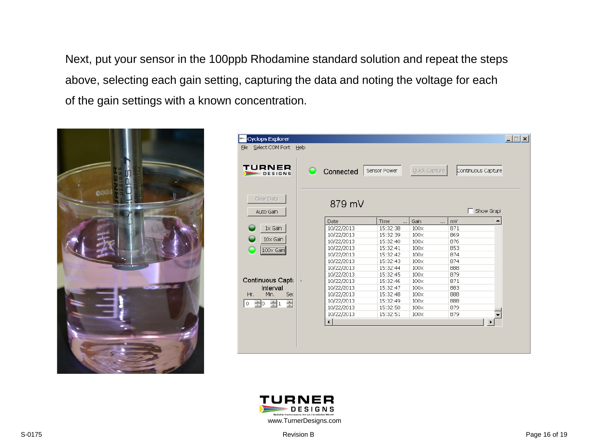Next, put your sensor in the 100ppb Rhodamine standard solution and repeat the steps above, selecting each gain setting, capturing the data and noting the voltage for each of the gain settings with a known concentration.



| <b>Cyclops Explorer</b><br>Select COM Port<br>File<br>TURNER<br>$\equiv$ DESIGNS | Help | Connected            | Sensor Power      | Quick Capture    | Continuous Capture | $ \Box$ $\times$ |
|----------------------------------------------------------------------------------|------|----------------------|-------------------|------------------|--------------------|------------------|
| Clear Data<br>Auto Gain                                                          |      | 879 mV               |                   |                  | Show Grapl         |                  |
|                                                                                  |      | Date                 | Time<br>$\ddotsc$ | Gain<br>$\cdots$ | ▲<br>mV            |                  |
| $1 \times$ Gain                                                                  |      | 10/22/2013           | 15:32:38          | 100x             | 871                |                  |
|                                                                                  |      | 10/22/2013           | 15:32:39          | $100\times$      | 869                |                  |
| $10\times$ Gain                                                                  |      | 10/22/2013           | 15:32:40          | $100\times$      | 876                |                  |
| 100x Gain                                                                        |      | 10/22/2013           | 15:32:41          | $100\times$      | 853                |                  |
|                                                                                  |      | 10/22/2013           | 15:32:42          | $100\times$      | 874                |                  |
|                                                                                  |      | 10/22/2013           | 15:32:43          | 100x             | 874                |                  |
|                                                                                  |      | 10/22/2013           | 15:32:44          | $100\times$      | 888                |                  |
|                                                                                  |      | 10/22/2013           | 15:32:45          | $100\times$      | 879                |                  |
| Continuous Captu                                                                 |      | 10/22/2013           | 15:32:46          | $100\times$      | 871                |                  |
| Interval                                                                         |      | 10/22/2013           | 15:32:47          | $100\times$      | 883                |                  |
| Min.<br>Sec<br>Hr.                                                               |      | 10/22/2013           | 15:32:48          | $100\times$      | 888                |                  |
| $\div$<br>$\overline{\Xi}$ 1<br>$\div$ 0<br>0                                    |      | 10/22/2013           | 15:32:49          | 100x             | 888                |                  |
|                                                                                  |      | 10/22/2013           | 15:32:50          | $100\times$      | 879                |                  |
|                                                                                  |      | 10/22/2013           | 15:32:51          | $100\times$      | 879                |                  |
|                                                                                  |      | $\blacktriangleleft$ |                   |                  | ▶                  |                  |
|                                                                                  |      |                      |                   |                  |                    |                  |
|                                                                                  |      |                      |                   |                  |                    |                  |
|                                                                                  |      |                      |                   |                  |                    |                  |
|                                                                                  |      |                      |                   |                  |                    |                  |

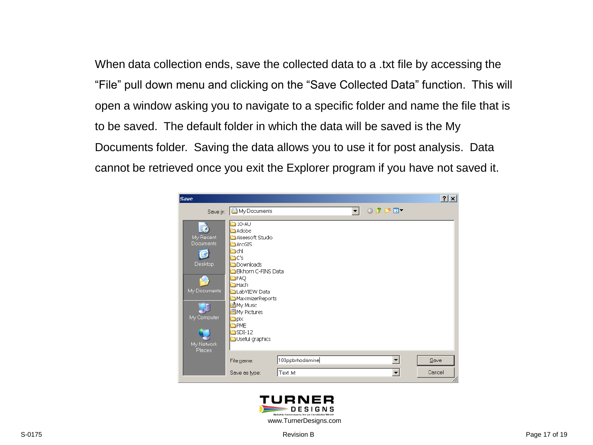When data collection ends, save the collected data to a .txt file by accessing the "File" pull down menu and clicking on the "Save Collected Data" function. This will open a window asking you to navigate to a specific folder and name the file that is to be saved. The default folder in which the data will be saved is the My Documents folder. Saving the data allows you to use it for post analysis. Data cannot be retrieved once you exit the Explorer program if you have not saved it.



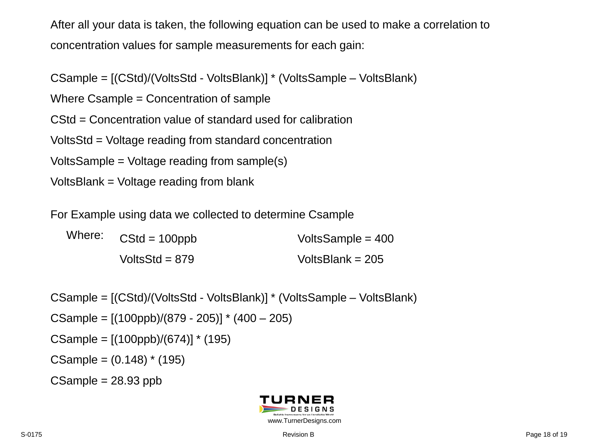After all your data is taken, the following equation can be used to make a correlation to concentration values for sample measurements for each gain:

CSample = [(CStd)/(VoltsStd - VoltsBlank)] \* (VoltsSample – VoltsBlank)

Where Csample = Concentration of sample

CStd = Concentration value of standard used for calibration

VoltsStd = Voltage reading from standard concentration

VoltsSample = Voltage reading from sample(s)

VoltsBlank = Voltage reading from blank

For Example using data we collected to determine Csample

Where:  $CStd = 100ppb$  VoltsSample = 400 VoltsStd = 879 VoltsBlank = 205

CSample = [(CStd)/(VoltsStd - VoltsBlank)] \* (VoltsSample – VoltsBlank) CSample =  $[(100ppb)/(879 - 205)]$  \*  $(400 - 205)$ CSample =  $[(100ppb)/(674)]$  \* (195)  $CSample = (0.148) * (195)$  $CSample = 28.93$  ppb